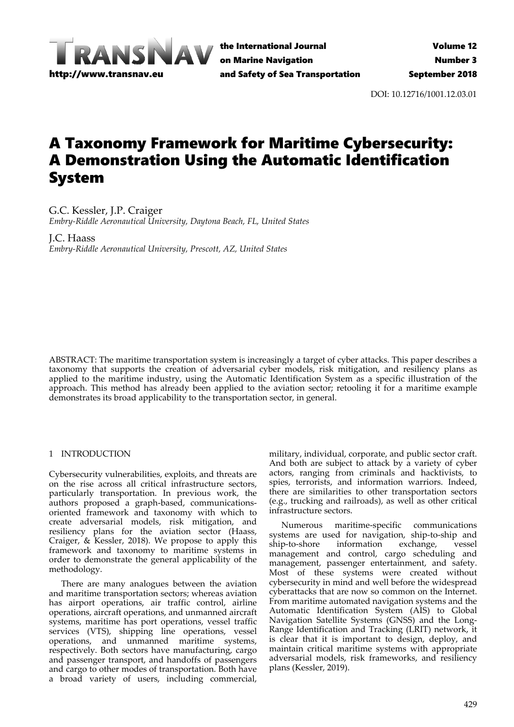

the International Journal on Marine Navigation and Safety of Sea Transportation

DOI: 10.12716/1001.12.03.01

# A Taxonomy Framework for Maritime Cybersecurity: A Demonstration Using the Automatic Identification System

G.C. Kessler, J.P. Craiger *Embry‐Riddle Aeronautical University, Daytona Beach, FL, United States*

J.C. Haass *Embry‐Riddle Aeronautical University, Prescott, AZ, United States*

ABSTRACT: The maritime transportation system is increasingly a target of cyber attacks. This paper describes a taxonomy that supports the creation of adversarial cyber models, risk mitigation, and resiliency plans as applied to the maritime industry, using the Automatic Identification System as a specific illustration of the approach. This method has already been applied to the aviation sector; retooling it for a maritime example demonstrates its broad applicability to the transportation sector, in general.

## 1 INTRODUCTION

Cybersecurity vulnerabilities, exploits, and threats are on the rise across all critical infrastructure sectors, particularly transportation. In previous work, the authors proposed a graph‐based, communications‐ oriented framework and taxonomy with which to create adversarial models, risk mitigation, and resiliency plans for the aviation sector (Haass, Craiger, & Kessler, 2018). We propose to apply this framework and taxonomy to maritime systems in order to demonstrate the general applicability of the methodology.

There are many analogues between the aviation and maritime transportation sectors; whereas aviation has airport operations, air traffic control, airline operations, aircraft operations, and unmanned aircraft systems, maritime has port operations, vessel traffic services (VTS), shipping line operations, vessel operations, and unmanned maritime systems, respectively. Both sectors have manufacturing, cargo and passenger transport, and handoffs of passengers and cargo to other modes of transportation. Both have a broad variety of users, including commercial,

military, individual, corporate, and public sector craft. And both are subject to attack by a variety of cyber actors, ranging from criminals and hacktivists, to spies, terrorists, and information warriors. Indeed, there are similarities to other transportation sectors (e.g., trucking and railroads), as well as other critical infrastructure sectors.

Numerous maritime‐specific communications systems are used for navigation, ship‐to‐ship and ship‐to‐shore information exchange, vessel management and control, cargo scheduling and management, passenger entertainment, and safety. Most of these systems were created without cybersecurity in mind and well before the widespread cyberattacks that are now so common on the Internet. From maritime automated navigation systems and the Automatic Identification System (AIS) to Global Navigation Satellite Systems (GNSS) and the Long‐ Range Identification and Tracking (LRIT) network, it is clear that it is important to design, deploy, and maintain critical maritime systems with appropriate adversarial models, risk frameworks, and resiliency plans (Kessler, 2019).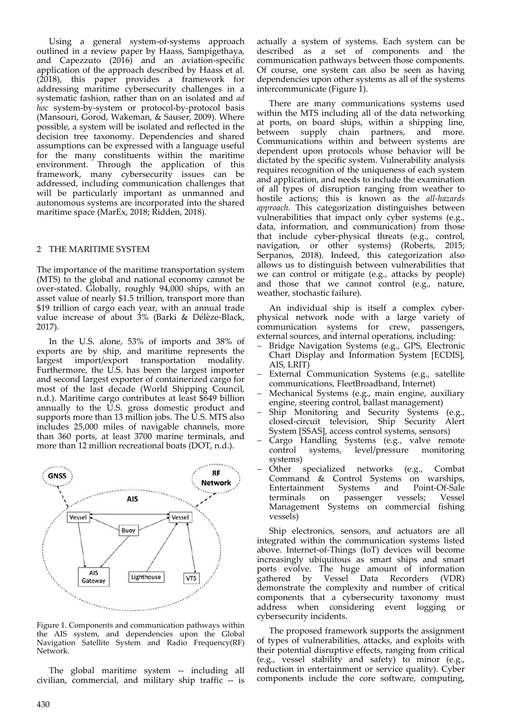Using a general system‐of‐systems approach outlined in a review paper by Haass, Sampigethaya, and Capezzuto (2016) and an aviation‐specific application of the approach described by Haass et al.  $(2018)$ , this paper provides a framework for addressing maritime cybersecurity challenges in a systematic fashion, rather than on an isolated and *ad hoc* system‐by‐system or protocol‐by‐protocol basis (Mansouri, Gorod, Wakeman, & Sauser, 2009). Where possible, a system will be isolated and reflected in the decision tree taxonomy. Dependencies and shared assumptions can be expressed with a language useful for the many constituents within the maritime environment. Through the application of this framework, many cybersecurity issues can be addressed, including communication challenges that will be particularly important as unmanned and autonomous systems are incorporated into the shared maritime space (MarEx, 2018; Ridden, 2018).

#### 2 THE MARITIME SYSTEM

The importance of the maritime transportation system (MTS) to the global and national economy cannot be over‐stated. Globally, roughly 94,000 ships, with an asset value of nearly \$1.5 trillion, transport more than \$19 trillion of cargo each year, with an annual trade value increase of about 3% (Barki & Délèze‐Black, 2017).

In the U.S. alone, 53% of imports and 38% of exports are by ship, and maritime represents the largest import/export transportation modality. Furthermore, the U.S. has been the largest importer and second largest exporter of containerized cargo for most of the last decade (World Shipping Council, n.d.). Maritime cargo contributes at least \$649 billion annually to the U.S. gross domestic product and supports more than 13 million jobs. The U.S. MTS also includes 25,000 miles of navigable channels, more than 360 ports, at least 3700 marine terminals, and more than 12 million recreational boats (DOT, n.d.).



Figure 1. Components and communication pathways within the AIS system, and dependencies upon the Global Navigation Satellite System and Radio Frequency(RF) Network.

The global maritime system -- including all civilian, commercial, and military ship traffic ‐‐ is actually a system of systems. Each system can be described as a set of components and the communication pathways between those components. Of course, one system can also be seen as having dependencies upon other systems as all of the systems intercommunicate (Figure 1).

There are many communications systems used within the MTS including all of the data networking at ports, on board ships, within a shipping line, between supply chain partners, and more. Communications within and between systems are dependent upon protocols whose behavior will be dictated by the specific system. Vulnerability analysis requires recognition of the uniqueness of each system and application, and needs to include the examination of all types of disruption ranging from weather to hostile actions; this is known as the *all‐hazards approach*. This categorization distinguishes between vulnerabilities that impact only cyber systems (e.g., data, information, and communication) from those that include cyber‐physical threats (e.g., control, navigation, or other systems) (Roberts, 2015; Serpanos, 2018). Indeed, this categorization also allows us to distinguish between vulnerabilities that we can control or mitigate (e.g., attacks by people) and those that we cannot control (e.g., nature, weather, stochastic failure).

An individual ship is itself a complex cyberphysical network node with a large variety of communication systems for crew, passengers, external sources, and internal operations, including:

- Bridge Navigation Systems (e.g., GPS, Electronic Chart Display and Information System [ECDIS], AIS, LRIT)
- External Communication Systems (e.g., satellite communications, FleetBroadband, Internet)
- Mechanical Systems (e.g., main engine, auxiliary engine, steering control, ballast management)
- Ship Monitoring and Security Systems (e.g., closed‐circuit television, Ship Security Alert System [SSAS], access control systems, sensors)
- Cargo Handling Systems (e.g., valve remote control systems, level/pressure monitoring systems)
- Other specialized networks (e.g., Combat Command & Control Systems on warships, Entertainment Systems and Point‐Of‐Sale terminals on passenger vessels; Vessel Management Systems on commercial fishing vessels)

Ship electronics, sensors, and actuators are all integrated within the communication systems listed above. Internet‐of‐Things (IoT) devices will become increasingly ubiquitous as smart ships and smart ports evolve. The huge amount of information gathered by Vessel Data Recorders (VDR) demonstrate the complexity and number of critical components that a cybersecurity taxonomy must address when considering event logging or cybersecurity incidents.

The proposed framework supports the assignment of types of vulnerabilities, attacks, and exploits with their potential disruptive effects, ranging from critical (e.g., vessel stability and safety) to minor (e.g., reduction in entertainment or service quality). Cyber components include the core software, computing,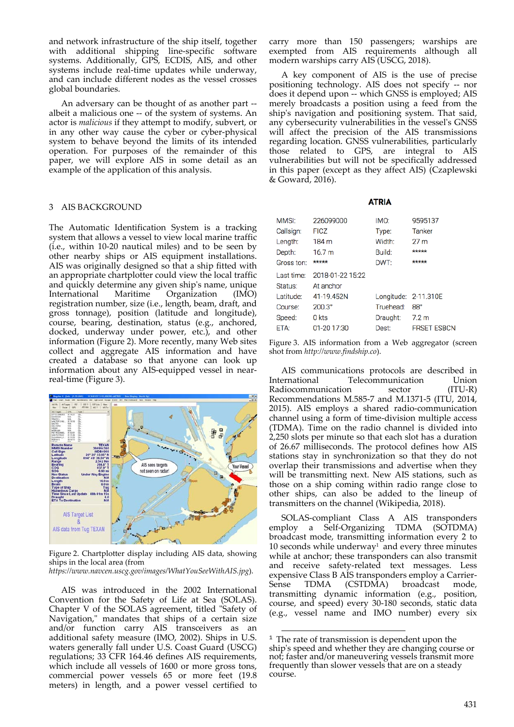and network infrastructure of the ship itself, together with additional shipping line-specific software systems. Additionally, GPS, ECDIS, AIS, and other systems include real‐time updates while underway, and can include different nodes as the vessel crosses global boundaries.

An adversary can be thought of as another part ‐‐ albeit a malicious one ‐‐ of the system of systems. An actor is *malicious* if they attempt to modify, subvert, or in any other way cause the cyber or cyber-physical system to behave beyond the limits of its intended operation. For purposes of the remainder of this paper, we will explore AIS in some detail as an example of the application of this analysis.

### 3 AIS BACKGROUND

The Automatic Identification System is a tracking system that allows a vessel to view local marine traffic (i.e., within 10‐20 nautical miles) and to be seen by other nearby ships or AIS equipment installations. AIS was originally designed so that a ship fitted with an appropriate chartplotter could view the local traffic and quickly determine any given shipʹs name, unique International Maritime Organization (IMO) registration number, size (i.e., length, beam, draft, and gross tonnage), position (latitude and longitude), course, bearing, destination, status (e.g., anchored, docked, underway under power, etc.), and other information (Figure 2). More recently, many Web sites collect and aggregate AIS information and have created a database so that anyone can look up information about any AIS‐equipped vessel in near‐ real‐time (Figure 3).



Figure 2. Chartplotter display including AIS data, showing ships in the local area (from

*https://www.navcen.uscg.gov/images/WhatYouSeeWithAIS.jpg*).

AIS was introduced in the 2002 International Convention for the Safety of Life at Sea (SOLAS). Chapter V of the SOLAS agreement, titled "Safety of Navigation," mandates that ships of a certain size and/or function carry AIS transceivers as an additional safety measure (IMO, 2002). Ships in U.S. waters generally fall under U.S. Coast Guard (USCG) regulations; 33 CFR 164.46 defines AIS requirements, which include all vessels of 1600 or more gross tons, commercial power vessels 65 or more feet (19.8 meters) in length, and a power vessel certified to

carry more than 150 passengers; warships are exempted from AIS requirements although all modern warships carry AIS (USCG, 2018).

A key component of AIS is the use of precise positioning technology. AIS does not specify ‐‐ nor does it depend upon ‐‐ which GNSS is employed; AIS merely broadcasts a position using a feed from the ship's navigation and positioning system. That said, any cybersecurity vulnerabilities in the vesselʹs GNSS will affect the precision of the AIS transmissions regarding location. GNSS vulnerabilities, particularly those related to GPS, are integral to AIS vulnerabilities but will not be specifically addressed in this paper (except as they affect AIS) (Czaplewski & Goward, 2016).

#### **ATRIA**

| MMSI:      | 226099000        | IMO:                 | 9595137            |
|------------|------------------|----------------------|--------------------|
| Callsign:  | <b>FICZ</b>      | Type:                | Tanker             |
| Length:    | 184 m            | Width:               | 27 <sub>m</sub>    |
| Depth:     | 16.7 m           | Build:               | *****              |
| Gross ton: | *****            | DWT:                 | *****              |
| Last time: | 2018-01-22 15:22 |                      |                    |
| Status:    | At anchor        |                      |                    |
| Latitude:  | 41-19.452N       | Longitude: 2-11.310E |                    |
| Course:    | $200.3^\circ$    | Truehead:            | $88^\circ$         |
| Speed:     | 0 kts            | Draught:             | 7.2 <sub>m</sub>   |
| ETA:       | 01-20 17:30      | Dest:                | <b>FRSET ESBCN</b> |
|            |                  |                      |                    |

Figure 3. AIS information from a Web aggregator (screen shot from *http://www.findship.co*).

AIS communications protocols are described in International Telecommunication Union<br>Radiocommunication sector (ITU-R) Radiocommunication sector Recommendations M.585‐7 and M.1371‐5 (ITU, 2014, 2015). AIS employs a shared radio‐communication channel using a form of time‐division multiple access (TDMA). Time on the radio channel is divided into 2,250 slots per minute so that each slot has a duration of 26.67 milliseconds. The protocol defines how AIS stations stay in synchronization so that they do not overlap their transmissions and advertise when they will be transmitting next. New AIS stations, such as those on a ship coming within radio range close to other ships, can also be added to the lineup of transmitters on the channel (Wikipedia, 2018).

SOLAS‐compliant Class A AIS transponders employ a Self‐Organizing TDMA (SOTDMA) broadcast mode, transmitting information every 2 to 10 seconds while underway<sup>1</sup> and every three minutes while at anchor; these transponders can also transmit and receive safety‐related text messages. Less expensive Class B AIS transponders employ a Carrier-<br>Sense TDMA (CSTDMA) broadcast mode, Sense TDMA (CSTDMA) broadcast mode, transmitting dynamic information (e.g., position, course, and speed) every 30‐180 seconds, static data (e.g., vessel name and IMO number) every six

<sup>&</sup>lt;u> Andrew Maria (1989)</u>  $1$  The rate of transmission is dependent upon the ship's speed and whether they are changing course or not; faster and/or maneuvering vessels transmit more frequently than slower vessels that are on a steady course.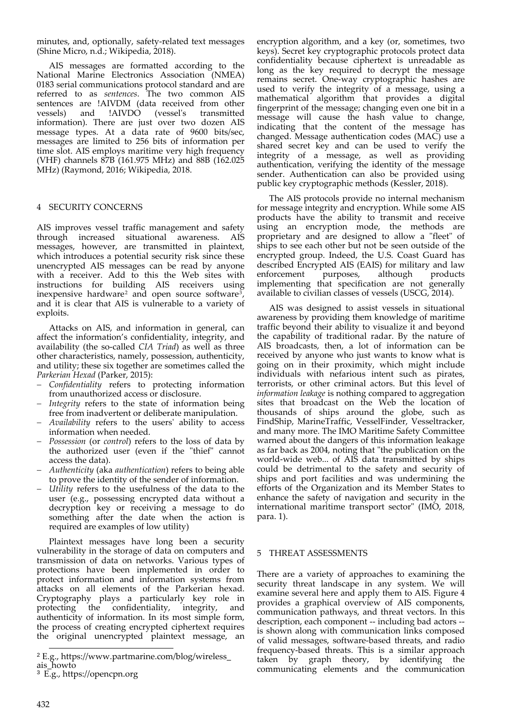minutes, and, optionally, safety‐related text messages (Shine Micro, n.d.; Wikipedia, 2018).

AIS messages are formatted according to the National Marine Electronics Association (NMEA) 0183 serial communications protocol standard and are referred to as *sentences*. The two common AIS sentences are !AIVDM (data received from other vessels) and !AIVDO (vesselʹs transmitted information). There are just over two dozen AIS message types. At a data rate of 9600 bits/sec, messages are limited to 256 bits of information per time slot. AIS employs maritime very high frequency (VHF) channels 87B (161.975 MHz) and 88B (162.025 MHz) (Raymond, 2016; Wikipedia, 2018.

## 4 SECURITY CONCERNS

AIS improves vessel traffic management and safety through increased situational awareness. AIS messages, however, are transmitted in plaintext, which introduces a potential security risk since these unencrypted AIS messages can be read by anyone with a receiver. Add to this the Web sites with instructions for building AIS receivers using inexpensive hardware<sup>2</sup> and open source software<sup>3</sup> and it is clear that AIS is vulnerable to a variety of exploits.

Attacks on AIS, and information in general, can affect the information's confidentiality, integrity, and availability (the so‐called *CIA Triad*) as well as three other characteristics, namely, possession, authenticity, and utility; these six together are sometimes called the *Parkerian Hexad* (Parker, 2015):

- *Confidentiality* refers to protecting information from unauthorized access or disclosure.
- *Integrity* refers to the state of information being free from inadvertent or deliberate manipulation.
- *Availability* refers to the usersʹ ability to access information when needed.
- *Possession* (or *control*) refers to the loss of data by the authorized user (even if the "thief" cannot access the data).
- *Authenticity* (aka *authentication*) refers to being able to prove the identity of the sender of information.
- *Utility* refers to the usefulness of the data to the user (e.g., possessing encrypted data without a decryption key or receiving a message to do something after the date when the action is required are examples of low utility)

Plaintext messages have long been a security vulnerability in the storage of data on computers and transmission of data on networks. Various types of protections have been implemented in order to protect information and information systems from attacks on all elements of the Parkerian hexad. Cryptography plays a particularly key role in protecting the confidentiality, integrity, and authenticity of information. In its most simple form, the process of creating encrypted ciphertext requires the original unencrypted plaintext message, an

encryption algorithm, and a key (or, sometimes, two keys). Secret key cryptographic protocols protect data confidentiality because ciphertext is unreadable as long as the key required to decrypt the message remains secret. One‐way cryptographic hashes are used to verify the integrity of a message, using a mathematical algorithm that provides a digital fingerprint of the message; changing even one bit in a message will cause the hash value to change, indicating that the content of the message has changed. Message authentication codes (MAC) use a shared secret key and can be used to verify the integrity of a message, as well as providing authentication, verifying the identity of the message sender. Authentication can also be provided using public key cryptographic methods (Kessler, 2018).

The AIS protocols provide no internal mechanism for message integrity and encryption. While some AIS products have the ability to transmit and receive using an encryption mode, the methods are proprietary and are designed to allow a "fleet" of ships to see each other but not be seen outside of the encrypted group. Indeed, the U.S. Coast Guard has described Encrypted AIS (EAIS) for military and law<br>enforcement purposes, although products enforcement purposes, although products implementing that specification are not generally available to civilian classes of vessels (USCG, 2014).

AIS was designed to assist vessels in situational awareness by providing them knowledge of maritime traffic beyond their ability to visualize it and beyond the capability of traditional radar. By the nature of AIS broadcasts, then, a lot of information can be received by anyone who just wants to know what is going on in their proximity, which might include individuals with nefarious intent such as pirates, terrorists, or other criminal actors. But this level of *information leakage* is nothing compared to aggregation sites that broadcast on the Web the location of thousands of ships around the globe, such as FindShip, MarineTraffic, VesselFinder, Vesseltracker, and many more. The IMO Maritime Safety Committee warned about the dangers of this information leakage as far back as 2004, noting that "the publication on the world-wide web... of AIS data transmitted by ships could be detrimental to the safety and security of ships and port facilities and was undermining the efforts of the Organization and its Member States to enhance the safety of navigation and security in the international maritime transport sector" (IMO, 2018, para. 1).

#### 5 THREAT ASSESSMENTS

There are a variety of approaches to examining the security threat landscape in any system. We will examine several here and apply them to AIS. Figure 4 provides a graphical overview of AIS components, communication pathways, and threat vectors. In this description, each component ‐‐ including bad actors ‐‐ is shown along with communication links composed of valid messages, software‐based threats, and radio frequency‐based threats. This is a similar approach taken by graph theory, by identifying the communicating elements and the communication

<sup>2</sup> E.g., https://www.partmarine.com/blog/wireless\_

ais\_howto

<sup>3</sup> E.g., https://opencpn.org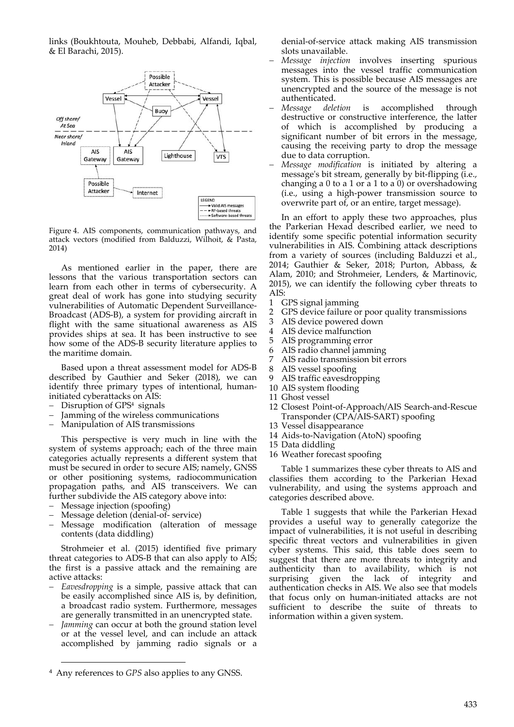links (Boukhtouta, Mouheb, Debbabi, Alfandi, Iqbal, & El Barachi, 2015).



Figure 4. AIS components, communication pathways, and attack vectors (modified from Balduzzi, Wilhoit, & Pasta, 2014)

As mentioned earlier in the paper, there are lessons that the various transportation sectors can learn from each other in terms of cybersecurity. A great deal of work has gone into studying security vulnerabilities of Automatic Dependent Surveillance‐ Broadcast (ADS‐B), a system for providing aircraft in flight with the same situational awareness as AIS provides ships at sea. It has been instructive to see how some of the ADS-B security literature applies to the maritime domain.

Based upon a threat assessment model for ADS‐B described by Gauthier and Seker (2018), we can identify three primary types of intentional, human‐ initiated cyberattacks on AIS:

- Disruption of GPS<sup>4</sup> signals
- Jamming of the wireless communications
- Manipulation of AIS transmissions

This perspective is very much in line with the system of systems approach; each of the three main categories actually represents a different system that must be secured in order to secure AIS; namely, GNSS or other positioning systems, radiocommunication propagation paths, and AIS transceivers. We can further subdivide the AIS category above into:

- Message injection (spoofing)
- Message deletion (denial-of-service)
- Message modification (alteration of message contents (data diddling)

Strohmeier et al. (2015) identified five primary threat categories to ADS‐B that can also apply to AIS; the first is a passive attack and the remaining are active attacks:

- *Eavesdropping* is a simple, passive attack that can be easily accomplished since AIS is, by definition, a broadcast radio system. Furthermore, messages are generally transmitted in an unencrypted state.
- *Jamming* can occur at both the ground station level or at the vessel level, and can include an attack accomplished by jamming radio signals or a

<u> 1989 - Johann Barbara, martxa alemaniar a</u>

denial‐of‐service attack making AIS transmission slots unavailable.

- *Message injection* involves inserting spurious messages into the vessel traffic communication system. This is possible because AIS messages are unencrypted and the source of the message is not authenticated.
- *Message deletion* is accomplished through destructive or constructive interference, the latter of which is accomplished by producing a significant number of bit errors in the message, causing the receiving party to drop the message due to data corruption.
- *Message modification* is initiated by altering a message's bit stream, generally by bit-flipping (i.e., changing a  $0$  to a  $1$  or a  $1$  to a  $0$ ) or overshadowing (i.e., using a high‐power transmission source to overwrite part of, or an entire, target message).

In an effort to apply these two approaches, plus the Parkerian Hexad described earlier, we need to identify some specific potential information security vulnerabilities in AIS. Combining attack descriptions from a variety of sources (including Balduzzi et al., 2014; Gauthier & Seker, 2018; Purton, Abbass, & Alam, 2010; and Strohmeier, Lenders, & Martinovic, 2015), we can identify the following cyber threats to AIS:

- 1 GPS signal jamming
- 2 GPS device failure or poor quality transmissions
- 3 AIS device powered down
- 4 AIS device malfunction
- 5 AIS programming error
- 6 AIS radio channel jamming
- 7 AIS radio transmission bit errors<br>8 AIS vessel spoofing
- 8 AIS vessel spoofing<br>9 AIS traffic eavesdro
- AIS traffic eavesdropping
- 10 AIS system flooding
- 11 Ghost vessel
- 12 Closest Point‐of‐Approach/AIS Search‐and‐Rescue Transponder (CPA/AIS‐SART) spoofing
- 13 Vessel disappearance
- 14 Aids‐to‐Navigation (AtoN) spoofing
- 15 Data diddling
- 16 Weather forecast spoofing

Table 1 summarizes these cyber threats to AIS and classifies them according to the Parkerian Hexad vulnerability, and using the systems approach and categories described above.

Table 1 suggests that while the Parkerian Hexad provides a useful way to generally categorize the impact of vulnerabilities, it is not useful in describing specific threat vectors and vulnerabilities in given cyber systems. This said, this table does seem to suggest that there are more threats to integrity and authenticity than to availability, which is not surprising given the lack of integrity and authentication checks in AIS. We also see that models that focus only on human‐initiated attacks are not sufficient to describe the suite of threats to information within a given system.

<sup>4</sup> Any references to *GPS* also applies to any GNSS.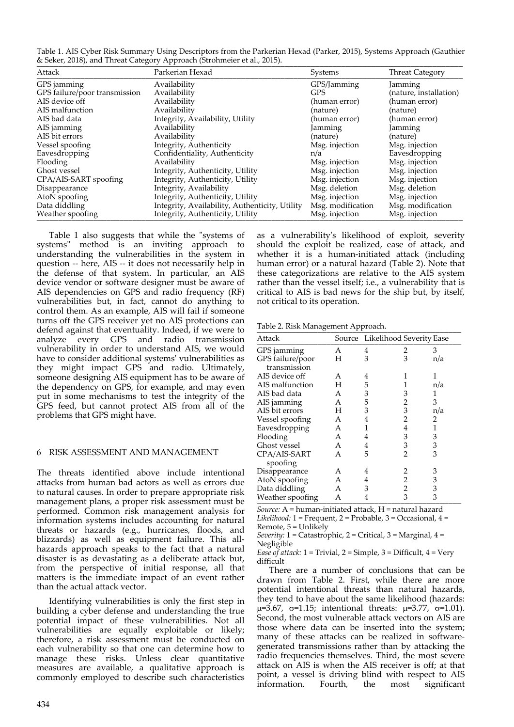| Table 1. AIS Cyber Risk Summary Using Descriptors from the Parkerian Hexad (Parker, 2015), Systems Approach (Gauthier |  |
|-----------------------------------------------------------------------------------------------------------------------|--|
| & Seker, 2018), and Threat Category Approach (Strohmeier et al., 2015).                                               |  |

| Attack                        | Parkerian Hexad                                | Systems           | <b>Threat Category</b> |
|-------------------------------|------------------------------------------------|-------------------|------------------------|
| GPS jamming                   | Availability                                   | GPS/Jamming       | Jamming                |
| GPS failure/poor transmission | Availability                                   | <b>GPS</b>        | (nature, installation) |
| AIS device off                | Availability                                   | (human error)     | (human error)          |
| AIS malfunction               | Availability                                   | (nature)          | (nature)               |
| AIS bad data                  | Integrity, Availability, Utility               | (human error)     | (human error)          |
| AIS jamming                   | Availability                                   | Jamming           | Jamming                |
| AIS bit errors                | Availability                                   | (nature)          | (nature)               |
| Vessel spoofing               | Integrity, Authenticity                        | Msg. injection    | Msg. injection         |
| Eavesdropping                 | Confidentiality, Authenticity                  | n/a               | Eavesdropping          |
| Flooding                      | Availability                                   | Msg. injection    | Msg. injection         |
| Ghost vessel                  | Integrity, Authenticity, Utility               | Msg. injection    | Msg. injection         |
| CPA/AIS-SART spoofing         | Integrity, Authenticity, Utility               | Msg. injection    | Msg. injection         |
| Disappearance                 | Integrity, Availability                        | Msg. deletion     | Msg. deletion          |
| AtoN spoofing                 | Integrity, Authenticity, Utility               | Msg. injection    | Msg. injection         |
| Data diddling                 | Integrity, Availability, Authenticity, Utility | Msg. modification | Msg. modification      |
| Weather spoofing              | Integrity, Authenticity, Utility               | Msg. injection    | Msg. injection         |

Table 1 also suggests that while the "systems of systems" method is an inviting approach to understanding the vulnerabilities in the system in question ‐‐ here, AIS ‐‐ it does not necessarily help in the defense of that system. In particular, an AIS device vendor or software designer must be aware of AIS dependencies on GPS and radio frequency (RF) vulnerabilities but, in fact, cannot do anything to control them. As an example, AIS will fail if someone turns off the GPS receiver yet no AIS protections can defend against that eventuality. Indeed, if we were to analyze every GPS and radio transmission vulnerability in order to understand AIS, we would have to consider additional systemsʹ vulnerabilities as they might impact GPS and radio. Ultimately, someone designing AIS equipment has to be aware of the dependency on GPS, for example, and may even put in some mechanisms to test the integrity of the GPS feed, but cannot protect AIS from all of the problems that GPS might have.

#### 6 RISK ASSESSMENT AND MANAGEMENT

The threats identified above include intentional attacks from human bad actors as well as errors due to natural causes. In order to prepare appropriate risk management plans, a proper risk assessment must be performed. Common risk management analysis for information systems includes accounting for natural threats or hazards (e.g., hurricanes, floods, and blizzards) as well as equipment failure. This all‐ hazards approach speaks to the fact that a natural disaster is as devastating as a deliberate attack but, from the perspective of initial response, all that matters is the immediate impact of an event rather than the actual attack vector.

Identifying vulnerabilities is only the first step in building a cyber defense and understanding the true potential impact of these vulnerabilities. Not all vulnerabilities are equally exploitable or likely; therefore, a risk assessment must be conducted on each vulnerability so that one can determine how to manage these risks. Unless clear quantitative measures are available, a qualitative approach is commonly employed to describe such characteristics

as a vulnerabilityʹs likelihood of exploit, severity should the exploit be realized, ease of attack, and whether it is a human-initiated attack (including human error) or a natural hazard (Table 2). Note that these categorizations are relative to the AIS system rather than the vessel itself; i.e., a vulnerability that is critical to AIS is bad news for the ship but, by itself, not critical to its operation.

Table 2. Risk Management Approach.

| Attack           |              | Source Likelihood Severity Ease |   |     |
|------------------|--------------|---------------------------------|---|-----|
| GPS jamming      | A            | 4                               | 2 | З   |
| GPS failure/poor | H            | 3                               | 3 | n/a |
| transmission     |              |                                 |   |     |
| AIS device off   | A            | 4                               |   | 1   |
| AIS malfunction  | H            | 5                               |   | n/a |
| AIS bad data     | A            | 3                               | 3 | 1   |
| AIS jamming      | A            | 5                               | 2 | 3   |
| AIS bit errors   | H            | 3                               | 3 | n/a |
| Vessel spoofing  | A            | 4                               | 2 | 2   |
| Eavesdropping    | A            | 1                               | 4 | 1   |
| Flooding         | A            | 4                               | 3 | 3   |
| Ghost vessel     | A            | 4                               | 3 | 3   |
| CPA/AIS-SART     | $\mathsf{A}$ | 5                               | 2 | 3   |
| spoofing         |              |                                 |   |     |
| Disappearance    | А            | 4                               | 2 | 3   |
| AtoN spoofing    | A            | 4                               | 2 | 3   |
| Data diddling    | A            | 3                               | 2 | 3   |
| Weather spoofing | A            | 4                               | 3 | 3   |

*Source:* A = human‐initiated attack, H = natural hazard *Likelihood:* 1 = Frequent, 2 = Probable, 3 = Occasional, 4 = Remote, 5 = Unlikely

*Severity:* 1 = Catastrophic, 2 = Critical, 3 = Marginal, 4 = Negligible

*Ease of attack:* 1 = Trivial, 2 = Simple, 3 = Difficult, 4 = Very difficult

There are a number of conclusions that can be drawn from Table 2. First, while there are more potential intentional threats than natural hazards, they tend to have about the same likelihood (hazards:  $\mu=3.67$ ,  $\sigma=1.15$ ; intentional threats:  $\mu=3.77$ ,  $\sigma=1.01$ ). Second, the most vulnerable attack vectors on AIS are those where data can be inserted into the system; many of these attacks can be realized in software‐ generated transmissions rather than by attacking the radio frequencies themselves. Third, the most severe attack on AIS is when the AIS receiver is off; at that point, a vessel is driving blind with respect to AIS<br>information. Fourth, the most significant information. Fourth, the most significant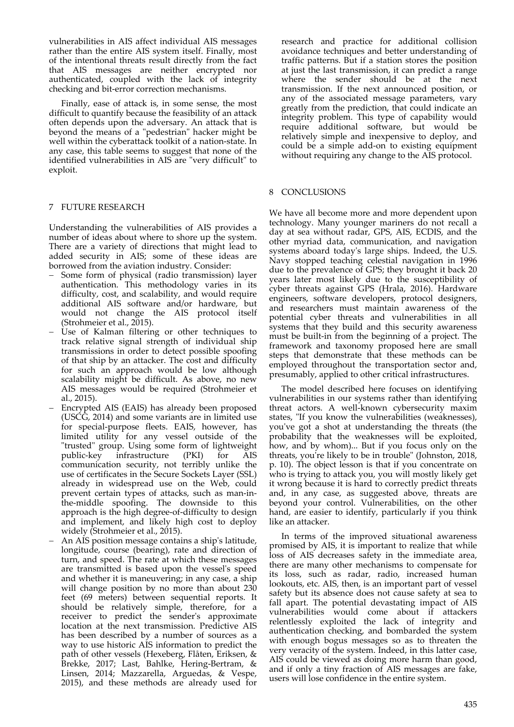vulnerabilities in AIS affect individual AIS messages rather than the entire AIS system itself. Finally, most of the intentional threats result directly from the fact that AIS messages are neither encrypted nor authenticated, coupled with the lack of integrity checking and bit‐error correction mechanisms.

Finally, ease of attack is, in some sense, the most difficult to quantify because the feasibility of an attack often depends upon the adversary. An attack that is beyond the means of a "pedestrian" hacker might be well within the cyberattack toolkit of a nation‐state. In any case, this table seems to suggest that none of the identified vulnerabilities in AIS are "very difficult" to exploit.

## 7 FUTURE RESEARCH

Understanding the vulnerabilities of AIS provides a number of ideas about where to shore up the system. There are a variety of directions that might lead to added security in AIS; some of these ideas are borrowed from the aviation industry. Consider:

- Some form of physical (radio transmission) layer authentication. This methodology varies in its difficulty, cost, and scalability, and would require additional AIS software and/or hardware, but would not change the AIS protocol itself (Strohmeier et al., 2015).
- Use of Kalman filtering or other techniques to track relative signal strength of individual ship transmissions in order to detect possible spoofing of that ship by an attacker. The cost and difficulty for such an approach would be low although scalability might be difficult. As above, no new AIS messages would be required (Strohmeier et al., 2015).
- Encrypted AIS (EAIS) has already been proposed (USCG, 2014) and some variants are in limited use for special‐purpose fleets. EAIS, however, has limited utility for any vessel outside of the "trusted" group. Using some form of lightweight<br>public-key infrastructure (PKI) for AIS public‐key infrastructure (PKI) for AIS communication security, not terribly unlike the use of certificates in the Secure Sockets Layer (SSL) already in widespread use on the Web, could prevent certain types of attacks, such as man‐in‐ the‐middle spoofing. The downside to this approach is the high degree‐of‐difficulty to design and implement, and likely high cost to deploy widely (Strohmeier et al., 2015).
- An AIS position message contains a shipʹs latitude, longitude, course (bearing), rate and direction of turn, and speed. The rate at which these messages are transmitted is based upon the vesselʹs speed and whether it is maneuvering; in any case, a ship will change position by no more than about 230 feet (69 meters) between sequential reports. It should be relatively simple, therefore, for a receiver to predict the sender's approximate location at the next transmission. Predictive AIS has been described by a number of sources as a way to use historic AIS information to predict the path of other vessels (Hexeberg, Flåten, Eriksen, & Brekke, 2017; Last, Bahlke, Hering‐Bertram, & Linsen, 2014; Mazzarella, Arguedas, & Vespe, 2015), and these methods are already used for

research and practice for additional collision avoidance techniques and better understanding of traffic patterns. But if a station stores the position at just the last transmission, it can predict a range where the sender should be at the next transmission. If the next announced position, or any of the associated message parameters, vary greatly from the prediction, that could indicate an integrity problem. This type of capability would require additional software, but would be relatively simple and inexpensive to deploy, and could be a simple add‐on to existing equipment without requiring any change to the AIS protocol.

## 8 CONCLUSIONS

We have all become more and more dependent upon technology. Many younger mariners do not recall a day at sea without radar, GPS, AIS, ECDIS, and the other myriad data, communication, and navigation systems aboard todayʹs large ships. Indeed, the U.S. Navy stopped teaching celestial navigation in 1996 due to the prevalence of GPS; they brought it back 20 years later most likely due to the susceptibility of cyber threats against GPS (Hrala, 2016). Hardware engineers, software developers, protocol designers, and researchers must maintain awareness of the potential cyber threats and vulnerabilities in all systems that they build and this security awareness must be built-in from the beginning of a project. The framework and taxonomy proposed here are small steps that demonstrate that these methods can be employed throughout the transportation sector and, presumably, applied to other critical infrastructures.

The model described here focuses on identifying vulnerabilities in our systems rather than identifying threat actors. A well‐known cybersecurity maxim states, "If you know the vulnerabilities (weaknesses), you've got a shot at understanding the threats (the probability that the weaknesses will be exploited, how, and by whom)... But if you focus only on the threats, you're likely to be in trouble" (Johnston, 2018, p. 10). The object lesson is that if you concentrate on who is trying to attack you, you will mostly likely get it wrong because it is hard to correctly predict threats and, in any case, as suggested above, threats are beyond your control. Vulnerabilities, on the other hand, are easier to identify, particularly if you think like an attacker.

In terms of the improved situational awareness promised by AIS, it is important to realize that while loss of AIS decreases safety in the immediate area, there are many other mechanisms to compensate for its loss, such as radar, radio, increased human lookouts, etc. AIS, then, is an important part of vessel safety but its absence does not cause safety at sea to fall apart. The potential devastating impact of AIS vulnerabilities would come about if attackers relentlessly exploited the lack of integrity and authentication checking, and bombarded the system with enough bogus messages so as to threaten the very veracity of the system. Indeed, in this latter case, AIS could be viewed as doing more harm than good, and if only a tiny fraction of AIS messages are fake, users will lose confidence in the entire system.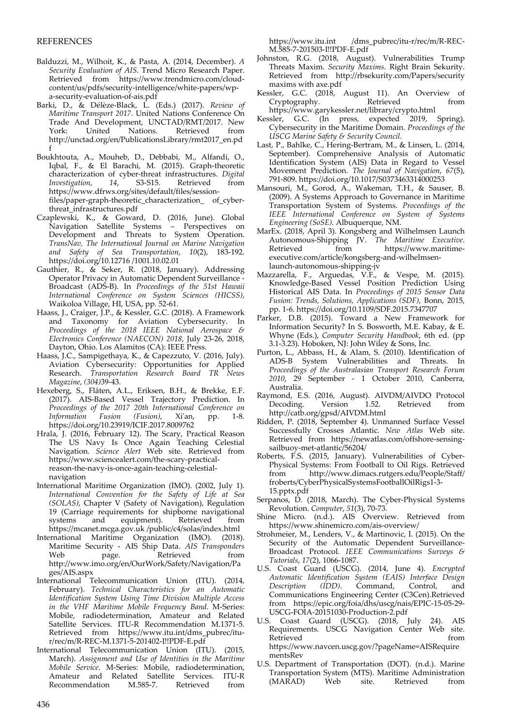## REFERENCES

- Balduzzi, M., Wilhoit, K., & Pasta, A. (2014, December). *A Security Evaluation of AIS*. Trend Micro Research Paper. Retrieved from https://www.trendmicro.com/cloud‐ content/us/pdfs/security-intelligence/white-papers/wpa‐security‐evaluation‐of‐ais.pdf
- Barki, D., & Délèze‐Black, L. (Eds.) (2017). *Review of Maritime Transport 2017*. United Nations Conference On Trade And Development, UNCTAD/RMT/2017. New Retrieved from http://unctad.org/en/PublicationsLibrary/rmt2017\_en.pd f
- Boukhtouta, A., Mouheb, D., Debbabi, M., Alfandi, O., Iqbal, F., & El Barachi, M. (2015). Graph‐theoretic characterization of cyber‐threat infrastructures. *Digital Investigation*, *14*, S3‐S15. Retrieved from https://www.dfrws.org/sites/default/files/session‐ files/paper-graph-theoretic\_characterization\_ of\_cyberthreat\_infrastructures.pdf
- Czaplewski, K., & Goward, D. (2016, June). Global Navigation Satellite Systems – Perspectives on Development and Threats to System Operation. *TransNav, The International Journal on Marine Navigation and Safety of Sea Transportation*, *10*(2), 183‐192. https://doi.org/10.12716 /1001.10.02.01
- Gauthier, R.,  $\&$  Seker, R. (2018, January). Addressing Operator Privacy in Automatic Dependent Surveillance ‐ Broadcast (ADS‐B). In *Proceedings of the 51st Hawaii International Conference on System Sciences (HICSS)*, Waikoloa Village, HI, USA, pp. 52‐61.
- Haass, J., Craiger, J.P., & Kessler, G.C. (2018). A Framework and Taxonomy for Aviation Cybersecurity. In *Proceedings of the 2018 IEEE National Aerospace & Electronics Conference (NAECON) 2018*, July 23‐26, 2018, Dayton, Ohio. Los Alamitos (CA): IEEE Press.
- Haass, J.C., Sampigethaya, K., & Capezzuto, V. (2016, July). Aviation Cybersecurity: Opportunities for Applied Research. *Transportation Research Board TR News Magazine*, *(304)*39‐43.
- Hexeberg, S., Flåten, A.L., Eriksen, B.H., & Brekke, E.F. (2017). AIS‐Based Vessel Trajectory Prediction. In *Proceedings of the 2017 20th International Conference on Information Fusion (Fusion)*, Xiʹan, pp. 1‐8. https://doi.org/10.23919/ICIF.2017.8009762
- Hrala, J. (2016, February 12). The Scary, Practical Reason The US Navy Is Once Again Teaching Celestial Navigation. *Science Alert* Web site. Retrieved from https://www.sciencealert.com/the‐scary‐practical‐ reason‐the‐navy‐is‐once‐again‐teaching‐celestial‐ navigation
- International Maritime Organization (IMO). (2002, July 1). *International Convention for the Safety of Life at Sea (SOLAS)*, Chapter V (Safety of Navigation), Regulation 19 (Carriage requirements for shipborne navigational systems and equipment). Retrieved from https://mcanet.mcga.gov.uk /public/c4/solas/index.html
- International Maritime Organization (IMO). (2018). Maritime Security ‐ AIS Ship Data. *AIS Transponders* Web page. Retrieved from http://www.imo.org/en/OurWork/Safety/Navigation/Pa ges/AIS.aspx
- International Telecommunication Union (ITU). (2014, February). *Technical Characteristics for an Automatic Identification System Using Time Division Multiple Access in the VHF Maritime Mobile Frequency Band*. M‐Series: Mobile, radiodetermination, Amateur and Related Satellite Services. ITU‐R Recommendation M.1371‐5. Retrieved from https://www.itu.int/dms\_pubrec/itur/rec/m/R‐REC‐M.1371‐5‐201402‐I!!PDF‐E.pdf
- International Telecommunication Union (ITU). (2015, March). *Assignment and Use of Identities in the Maritime Mobile Service*. M‐Series: Mobile, radiodetermination, Amateur and Related Satellite Services.<br>Recommendation M.585-7. Retrieved Recommendation M.585-7. Retrieved from

https://www.itu.int /dms\_pubrec/itu-r/rec/m/R-REC-M.585‐7‐201503‐I!!PDF‐E.pdf

- Johnston, R.G. (2018, August). Vulnerabilities Trump Threats Maxim. *Security Maxims*. Right Brain Sekurity. Retrieved from http://rbsekurity.com/Papers/security maxims with axe.pdf
- Kessler, G.C. (2018, August 11). An Overview of Cryptography. https://www.garykessler.net/library/crypto.html
- Kessler, G.C. (In press, expected 2019, Spring). Cybersecurity in the Maritime Domain. *Proceedings of the USCG Marine Safety & Security Council*.
- Last, P., Bahlke, C., Hering‐Bertram, M., & Linsen, L. (2014, September). Comprehensive Analysis of Automatic Identification System (AIS) Data in Regard to Vessel Movement Prediction. *The Journal of Navigation*, *67*(5), 791‐809. https://doi.org/10.1017/S0373463314000253
- Mansouri, M., Gorod, A., Wakeman, T.H., & Sauser, B. (2009). A Systems Approach to Governance in Maritime Transportation System of Systems. *Proceedings of the IEEE International Conference on System of Systems Engineering (SoSE)*. Albuquerque, NM.
- MarEx. (2018, April 3). Kongsberg and Wilhelmsen Launch Autonomous‐Shipping JV. *The Maritime Executive*. https://www.maritimeexecutive.com/article/kongsberg‐and‐wilhelmsen‐ launch‐autonomous‐shipping‐jv
- Mazzarella, F., Arguedas, V.F., & Vespe, M. (2015). Knowledge‐Based Vessel Position Prediction Using Historical AIS Data. In *Proceedings of 2015 Sensor Data Fusion: Trends, Solutions, Applications (SDF)*, Bonn, 2015, pp. 1‐6. https://doi.org/10.1109/SDF.2015.7347707
- Parker, D.B. (2015). Toward a New Framework for Information Security? In S. Bosworth, M.E. Kabay, & E. Whyne (Eds.), *Computer Security Handbook*, 6th ed. (pp 3.1‐3.23). Hoboken, NJ: John Wiley & Sons, Inc.
- Purton, L., Abbass, H., & Alam, S. (2010). Identification of ADS‐B System Vulnerabilities and Threats. In *Proceedings of the Australasian Transport Research Forum 2010*, 29 September ‐ 1 October 2010, Canberra, Australia.
- Raymond, E.S. (2016, August). AIVDM/AIVDO Protocol Decoding. Version 1.52. Retrieved from http://catb.org/gpsd/AIVDM.html
- Ridden, P. (2018, September 4). Unmanned Surface Vessel Successfully Crosses Atlantic. *New Atlas* Web site. Retrieved from https://newatlas.com/offshore-sensingsailbuoy‐met‐atlantic/56204/
- Roberts, F.S. (2015, January). Vulnerabilities of Cyber‐ Physical Systems: From Football to Oil Rigs. Retrieved from http://www.dimacs.rutgers.edu/People/Staff/ froberts/CyberPhysicalSystemsFootballOilRigs1‐3‐ 15.pptx.pdf
- Serpanos, D. (2018, March). The Cyber-Physical Systems Revolution. *Computer*, *51*(3), 70‐73.
- Shine Micro.  $(n,d)$ . AIS Overview. Retrieved from https://www.shinemicro.com/ais‐overview/
- Strohmeier, M., Lenders, V., & Martinovic, I. (2015). On the Security of the Automatic Dependent Surveillance-Broadcast Protocol. *IEEE Communications Surveys & Tutorials*, *17*(2), 1066‐1087.
- U.S. Coast Guard (USCG). (2014, June 4). *Encrypted Automatic Identification System (EAIS) Interface Design* Command, Control, and Communications Engineering Center (C3Cen).Retrieved from https://epic.org/foia/dhs/uscg/nais/EPIC‐15‐05‐29‐ USCG‐FOIA‐20151030‐Production‐2.pdf
- U.S. Coast Guard (USCG). (2018, July 24). AIS Requirements. USCG Navigation Center Web site. Retrieved from  $\sim$ https://www.navcen.uscg.gov/?pageName=AISRequire mentsRev
- U.S. Department of Transportation (DOT). (n.d.). Marine Transportation System (MTS). Maritime Administration  $(MARAD)$